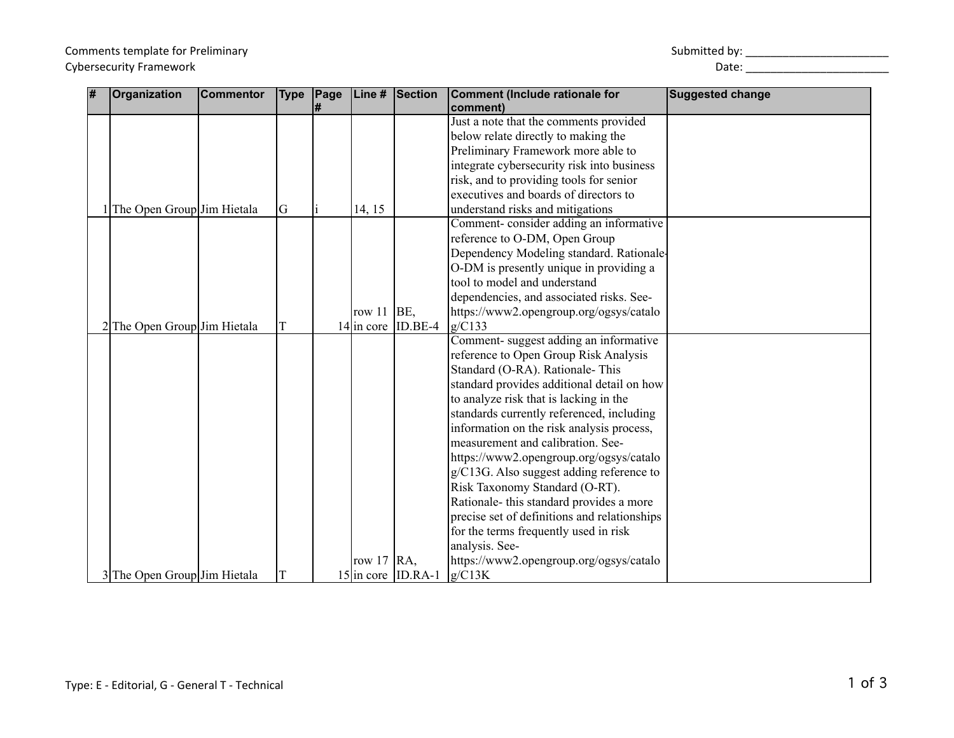| l# | Organization                 | <b>Commentor</b> | <b>Type</b> | Page | Line #        | Section              | Comment (Include rationale for               | <b>Suggested change</b> |
|----|------------------------------|------------------|-------------|------|---------------|----------------------|----------------------------------------------|-------------------------|
|    |                              |                  |             | l#   |               |                      | comment)                                     |                         |
|    |                              |                  |             |      |               |                      | Just a note that the comments provided       |                         |
|    |                              |                  |             |      |               |                      | below relate directly to making the          |                         |
|    |                              |                  |             |      |               |                      | Preliminary Framework more able to           |                         |
|    |                              |                  |             |      |               |                      | integrate cybersecurity risk into business   |                         |
|    |                              |                  |             |      |               |                      | risk, and to providing tools for senior      |                         |
|    |                              |                  |             |      |               |                      | executives and boards of directors to        |                         |
|    | The Open Group Jim Hietala   |                  | G           |      | 14, 15        |                      | understand risks and mitigations             |                         |
|    |                              |                  |             |      |               |                      | Comment-consider adding an informative       |                         |
|    |                              |                  |             |      |               |                      | reference to O-DM, Open Group                |                         |
|    |                              |                  |             |      |               |                      | Dependency Modeling standard. Rationale-     |                         |
|    |                              |                  |             |      |               |                      | O-DM is presently unique in providing a      |                         |
|    |                              |                  |             |      |               |                      | tool to model and understand                 |                         |
|    |                              |                  |             |      |               |                      | dependencies, and associated risks. See-     |                         |
|    |                              |                  |             |      | row $11$      | BE,                  | https://www2.opengroup.org/ogsys/catalo      |                         |
|    | The Open Group Jim Hietala   |                  |             |      |               | $14$ in core ID.BE-4 | g/C133                                       |                         |
|    |                              |                  |             |      |               |                      | Comment-suggest adding an informative        |                         |
|    |                              |                  |             |      |               |                      | reference to Open Group Risk Analysis        |                         |
|    |                              |                  |             |      |               |                      | Standard (O-RA). Rationale- This             |                         |
|    |                              |                  |             |      |               |                      | standard provides additional detail on how   |                         |
|    |                              |                  |             |      |               |                      | to analyze risk that is lacking in the       |                         |
|    |                              |                  |             |      |               |                      | standards currently referenced, including    |                         |
|    |                              |                  |             |      |               |                      | information on the risk analysis process,    |                         |
|    |                              |                  |             |      |               |                      | measurement and calibration. See-            |                         |
|    |                              |                  |             |      |               |                      | https://www2.opengroup.org/ogsys/catalo      |                         |
|    |                              |                  |             |      |               |                      | g/C13G. Also suggest adding reference to     |                         |
|    |                              |                  |             |      |               |                      | Risk Taxonomy Standard (O-RT).               |                         |
|    |                              |                  |             |      |               |                      | Rationale- this standard provides a more     |                         |
|    |                              |                  |             |      |               |                      | precise set of definitions and relationships |                         |
|    |                              |                  |             |      |               |                      | for the terms frequently used in risk        |                         |
|    |                              |                  |             |      |               |                      | analysis. See-                               |                         |
|    |                              |                  |             |      | row 17 $RA$ , |                      | https://www2.opengroup.org/ogsys/catalo      |                         |
|    | 3 The Open Group Jim Hietala |                  |             |      |               | $15$ in core ID.RA-1 | g/C13K                                       |                         |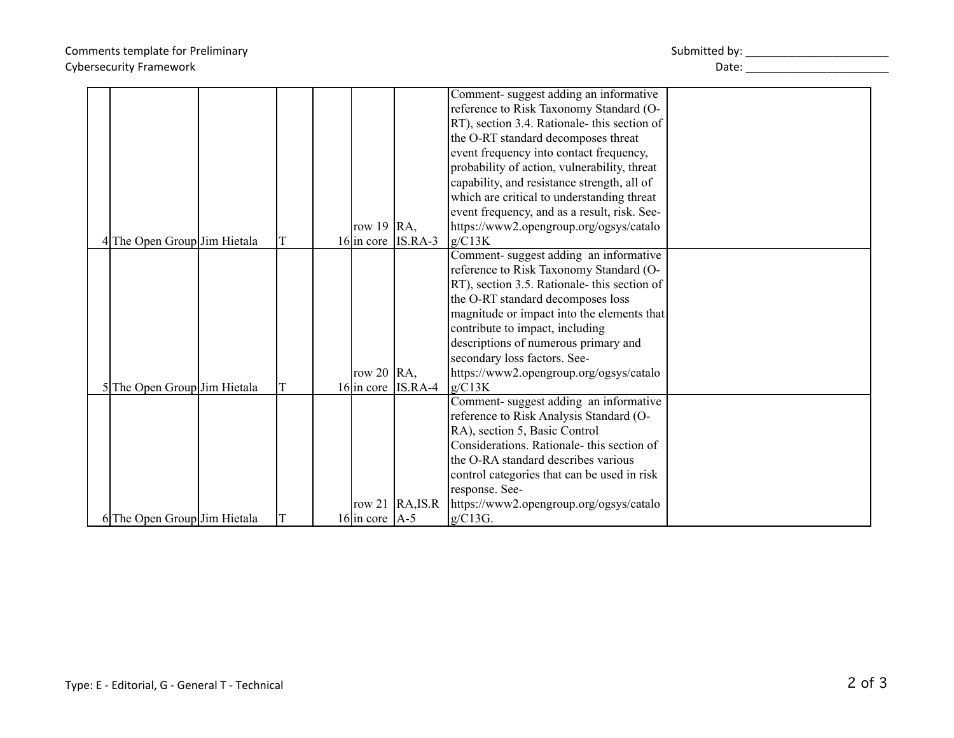## Comments template for Preliminary North Comments template for Preliminary Submitted by: \_\_\_\_\_\_\_\_\_\_\_\_\_\_\_\_\_\_\_\_\_\_\_\_\_\_\_\_\_ Cybersecurity Framework and the control of the control of the control of the control of the control of the control of the control of the control of the control of the control of the control of the control of the control of

|                              |  |                    |                      | Comment-suggest adding an informative        |  |
|------------------------------|--|--------------------|----------------------|----------------------------------------------|--|
|                              |  |                    |                      | reference to Risk Taxonomy Standard (O-      |  |
|                              |  |                    |                      | RT), section 3.4. Rationale- this section of |  |
|                              |  |                    |                      | the O-RT standard decomposes threat          |  |
|                              |  |                    |                      | event frequency into contact frequency,      |  |
|                              |  |                    |                      | probability of action, vulnerability, threat |  |
|                              |  |                    |                      | capability, and resistance strength, all of  |  |
|                              |  |                    |                      | which are critical to understanding threat   |  |
|                              |  |                    |                      | event frequency, and as a result, risk. See- |  |
|                              |  | row 19 $RA$ ,      |                      | https://www2.opengroup.org/ogsys/catalo      |  |
| 4 The Open Group Jim Hietala |  |                    | $16$ in core IS.RA-3 | g/C13K                                       |  |
|                              |  |                    |                      | Comment-suggest adding an informative        |  |
|                              |  |                    |                      | reference to Risk Taxonomy Standard (O-      |  |
|                              |  |                    |                      | RT), section 3.5. Rationale- this section of |  |
|                              |  |                    |                      | the O-RT standard decomposes loss            |  |
|                              |  |                    |                      | magnitude or impact into the elements that   |  |
|                              |  |                    |                      | contribute to impact, including              |  |
|                              |  |                    |                      | descriptions of numerous primary and         |  |
|                              |  |                    |                      | secondary loss factors. See-                 |  |
|                              |  | row 20 $ RA$ ,     |                      | https://www2.opengroup.org/ogsys/catalo      |  |
| 5 The Open Group Jim Hietala |  |                    | $16$ in core IS.RA-4 | g/C13K                                       |  |
|                              |  |                    |                      | Comment-suggest adding an informative        |  |
|                              |  |                    |                      | reference to Risk Analysis Standard (O-      |  |
|                              |  |                    |                      | RA), section 5, Basic Control                |  |
|                              |  |                    |                      | Considerations. Rationale- this section of   |  |
|                              |  |                    |                      | the O-RA standard describes various          |  |
|                              |  |                    |                      | control categories that can be used in risk  |  |
|                              |  |                    |                      | response. See-                               |  |
|                              |  |                    | row 21 $RA, IS.R$    | https://www2.opengroup.org/ogsys/catalo      |  |
| 6 The Open Group Jim Hietala |  | 16 in core $ A-5 $ |                      | g/C13G.                                      |  |
|                              |  |                    |                      |                                              |  |